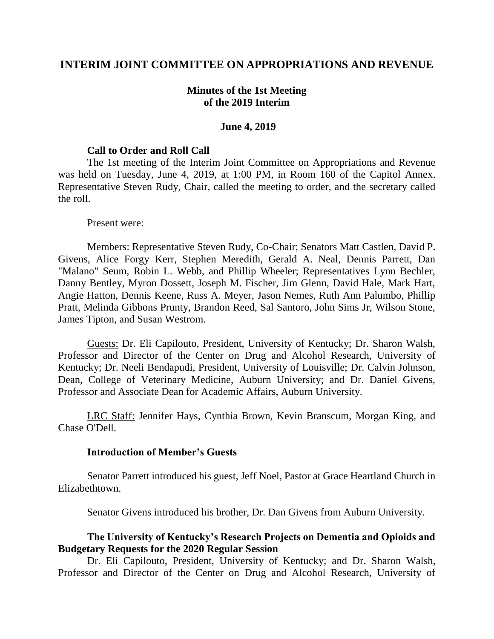## **INTERIM JOINT COMMITTEE ON APPROPRIATIONS AND REVENUE**

## **Minutes of the 1st Meeting of the 2019 Interim**

### **June 4, 2019**

#### **Call to Order and Roll Call**

The 1st meeting of the Interim Joint Committee on Appropriations and Revenue was held on Tuesday, June 4, 2019, at 1:00 PM, in Room 160 of the Capitol Annex. Representative Steven Rudy, Chair, called the meeting to order, and the secretary called the roll.

#### Present were:

Members: Representative Steven Rudy, Co-Chair; Senators Matt Castlen, David P. Givens, Alice Forgy Kerr, Stephen Meredith, Gerald A. Neal, Dennis Parrett, Dan "Malano" Seum, Robin L. Webb, and Phillip Wheeler; Representatives Lynn Bechler, Danny Bentley, Myron Dossett, Joseph M. Fischer, Jim Glenn, David Hale, Mark Hart, Angie Hatton, Dennis Keene, Russ A. Meyer, Jason Nemes, Ruth Ann Palumbo, Phillip Pratt, Melinda Gibbons Prunty, Brandon Reed, Sal Santoro, John Sims Jr, Wilson Stone, James Tipton, and Susan Westrom.

Guests: Dr. Eli Capilouto, President, University of Kentucky; Dr. Sharon Walsh, Professor and Director of the Center on Drug and Alcohol Research, University of Kentucky; Dr. Neeli Bendapudi, President, University of Louisville; Dr. Calvin Johnson, Dean, College of Veterinary Medicine, Auburn University; and Dr. Daniel Givens, Professor and Associate Dean for Academic Affairs, Auburn University.

LRC Staff: Jennifer Hays, Cynthia Brown, Kevin Branscum, Morgan King, and Chase O'Dell.

### **Introduction of Member's Guests**

Senator Parrett introduced his guest, Jeff Noel, Pastor at Grace Heartland Church in Elizabethtown.

Senator Givens introduced his brother, Dr. Dan Givens from Auburn University.

## **The University of Kentucky's Research Projects on Dementia and Opioids and Budgetary Requests for the 2020 Regular Session**

Dr. Eli Capilouto, President, University of Kentucky; and Dr. Sharon Walsh, Professor and Director of the Center on Drug and Alcohol Research, University of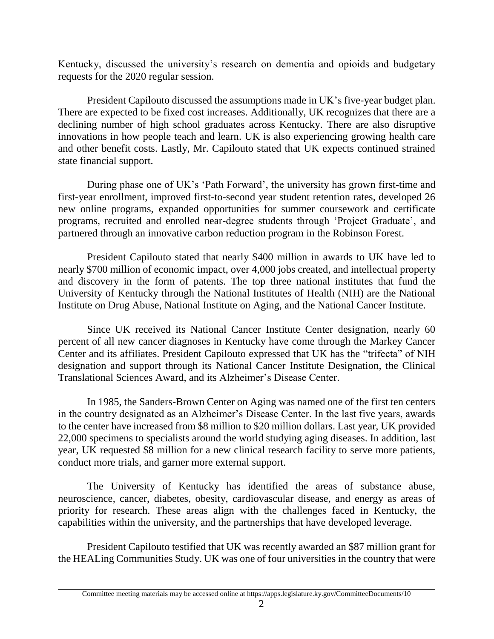Kentucky, discussed the university's research on dementia and opioids and budgetary requests for the 2020 regular session.

President Capilouto discussed the assumptions made in UK's five-year budget plan. There are expected to be fixed cost increases. Additionally, UK recognizes that there are a declining number of high school graduates across Kentucky. There are also disruptive innovations in how people teach and learn. UK is also experiencing growing health care and other benefit costs. Lastly, Mr. Capilouto stated that UK expects continued strained state financial support.

During phase one of UK's 'Path Forward', the university has grown first-time and first-year enrollment, improved first-to-second year student retention rates, developed 26 new online programs, expanded opportunities for summer coursework and certificate programs, recruited and enrolled near-degree students through 'Project Graduate', and partnered through an innovative carbon reduction program in the Robinson Forest.

President Capilouto stated that nearly \$400 million in awards to UK have led to nearly \$700 million of economic impact, over 4,000 jobs created, and intellectual property and discovery in the form of patents. The top three national institutes that fund the University of Kentucky through the National Institutes of Health (NIH) are the National Institute on Drug Abuse, National Institute on Aging, and the National Cancer Institute.

Since UK received its National Cancer Institute Center designation, nearly 60 percent of all new cancer diagnoses in Kentucky have come through the Markey Cancer Center and its affiliates. President Capilouto expressed that UK has the "trifecta" of NIH designation and support through its National Cancer Institute Designation, the Clinical Translational Sciences Award, and its Alzheimer's Disease Center.

In 1985, the Sanders-Brown Center on Aging was named one of the first ten centers in the country designated as an Alzheimer's Disease Center. In the last five years, awards to the center have increased from \$8 million to \$20 million dollars. Last year, UK provided 22,000 specimens to specialists around the world studying aging diseases. In addition, last year, UK requested \$8 million for a new clinical research facility to serve more patients, conduct more trials, and garner more external support.

The University of Kentucky has identified the areas of substance abuse, neuroscience, cancer, diabetes, obesity, cardiovascular disease, and energy as areas of priority for research. These areas align with the challenges faced in Kentucky, the capabilities within the university, and the partnerships that have developed leverage.

President Capilouto testified that UK was recently awarded an \$87 million grant for the HEALing Communities Study. UK was one of four universities in the country that were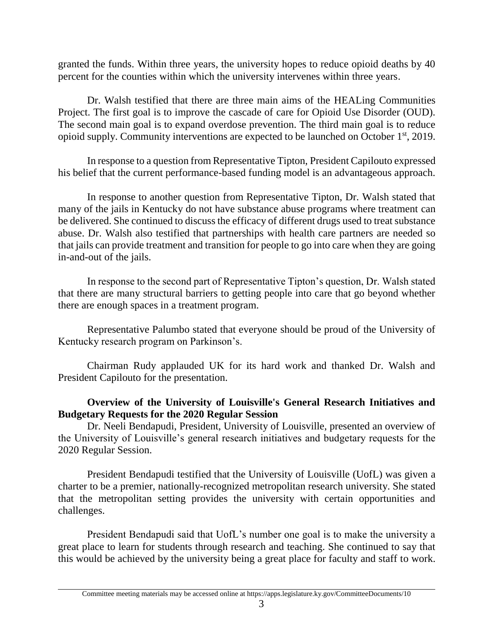granted the funds. Within three years, the university hopes to reduce opioid deaths by 40 percent for the counties within which the university intervenes within three years.

Dr. Walsh testified that there are three main aims of the HEALing Communities Project. The first goal is to improve the cascade of care for Opioid Use Disorder (OUD). The second main goal is to expand overdose prevention. The third main goal is to reduce opioid supply. Community interventions are expected to be launched on October 1st, 2019.

In response to a question from Representative Tipton, President Capilouto expressed his belief that the current performance-based funding model is an advantageous approach.

In response to another question from Representative Tipton, Dr. Walsh stated that many of the jails in Kentucky do not have substance abuse programs where treatment can be delivered. She continued to discuss the efficacy of different drugs used to treat substance abuse. Dr. Walsh also testified that partnerships with health care partners are needed so that jails can provide treatment and transition for people to go into care when they are going in-and-out of the jails.

In response to the second part of Representative Tipton's question, Dr. Walsh stated that there are many structural barriers to getting people into care that go beyond whether there are enough spaces in a treatment program.

Representative Palumbo stated that everyone should be proud of the University of Kentucky research program on Parkinson's.

Chairman Rudy applauded UK for its hard work and thanked Dr. Walsh and President Capilouto for the presentation.

# **Overview of the University of Louisville's General Research Initiatives and Budgetary Requests for the 2020 Regular Session**

Dr. Neeli Bendapudi, President, University of Louisville, presented an overview of the University of Louisville's general research initiatives and budgetary requests for the 2020 Regular Session.

President Bendapudi testified that the University of Louisville (UofL) was given a charter to be a premier, nationally-recognized metropolitan research university. She stated that the metropolitan setting provides the university with certain opportunities and challenges.

President Bendapudi said that UofL's number one goal is to make the university a great place to learn for students through research and teaching. She continued to say that this would be achieved by the university being a great place for faculty and staff to work.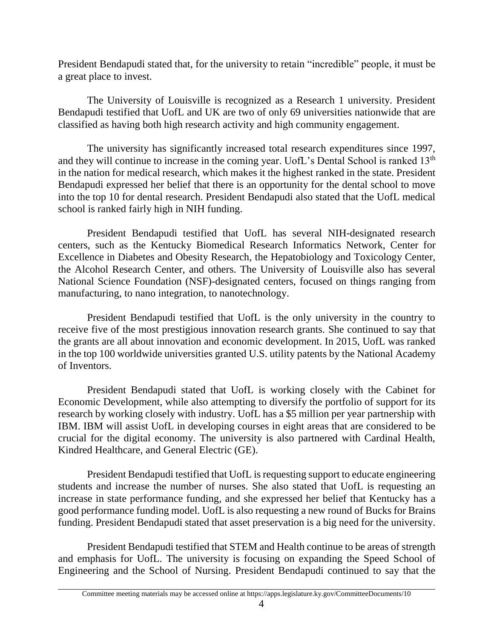President Bendapudi stated that, for the university to retain "incredible" people, it must be a great place to invest.

The University of Louisville is recognized as a Research 1 university. President Bendapudi testified that UofL and UK are two of only 69 universities nationwide that are classified as having both high research activity and high community engagement.

The university has significantly increased total research expenditures since 1997, and they will continue to increase in the coming year. UofL's Dental School is ranked 13<sup>th</sup> in the nation for medical research, which makes it the highest ranked in the state. President Bendapudi expressed her belief that there is an opportunity for the dental school to move into the top 10 for dental research. President Bendapudi also stated that the UofL medical school is ranked fairly high in NIH funding.

President Bendapudi testified that UofL has several NIH-designated research centers, such as the Kentucky Biomedical Research Informatics Network, Center for Excellence in Diabetes and Obesity Research, the Hepatobiology and Toxicology Center, the Alcohol Research Center, and others. The University of Louisville also has several National Science Foundation (NSF)-designated centers, focused on things ranging from manufacturing, to nano integration, to nanotechnology.

President Bendapudi testified that UofL is the only university in the country to receive five of the most prestigious innovation research grants. She continued to say that the grants are all about innovation and economic development. In 2015, UofL was ranked in the top 100 worldwide universities granted U.S. utility patents by the National Academy of Inventors.

President Bendapudi stated that UofL is working closely with the Cabinet for Economic Development, while also attempting to diversify the portfolio of support for its research by working closely with industry. UofL has a \$5 million per year partnership with IBM. IBM will assist UofL in developing courses in eight areas that are considered to be crucial for the digital economy. The university is also partnered with Cardinal Health, Kindred Healthcare, and General Electric (GE).

President Bendapudi testified that UofL is requesting support to educate engineering students and increase the number of nurses. She also stated that UofL is requesting an increase in state performance funding, and she expressed her belief that Kentucky has a good performance funding model. UofL is also requesting a new round of Bucks for Brains funding. President Bendapudi stated that asset preservation is a big need for the university.

President Bendapudi testified that STEM and Health continue to be areas of strength and emphasis for UofL. The university is focusing on expanding the Speed School of Engineering and the School of Nursing. President Bendapudi continued to say that the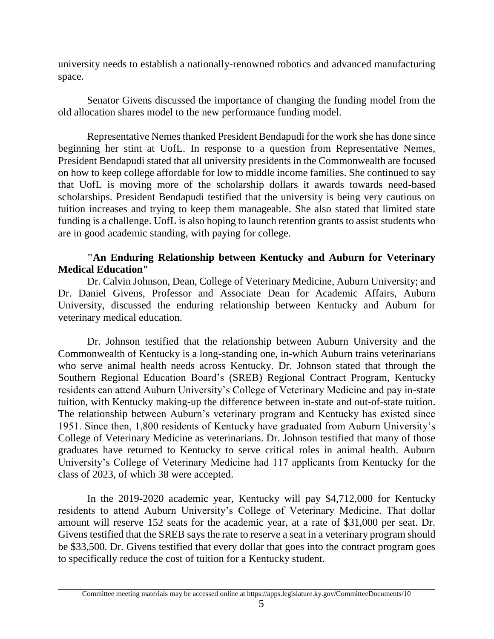university needs to establish a nationally-renowned robotics and advanced manufacturing space.

Senator Givens discussed the importance of changing the funding model from the old allocation shares model to the new performance funding model.

Representative Nemes thanked President Bendapudi for the work she has done since beginning her stint at UofL. In response to a question from Representative Nemes, President Bendapudi stated that all university presidents in the Commonwealth are focused on how to keep college affordable for low to middle income families. She continued to say that UofL is moving more of the scholarship dollars it awards towards need-based scholarships. President Bendapudi testified that the university is being very cautious on tuition increases and trying to keep them manageable. She also stated that limited state funding is a challenge. UofL is also hoping to launch retention grants to assist students who are in good academic standing, with paying for college.

# **"An Enduring Relationship between Kentucky and Auburn for Veterinary Medical Education"**

Dr. Calvin Johnson, Dean, College of Veterinary Medicine, Auburn University; and Dr. Daniel Givens, Professor and Associate Dean for Academic Affairs, Auburn University, discussed the enduring relationship between Kentucky and Auburn for veterinary medical education.

Dr. Johnson testified that the relationship between Auburn University and the Commonwealth of Kentucky is a long-standing one, in-which Auburn trains veterinarians who serve animal health needs across Kentucky. Dr. Johnson stated that through the Southern Regional Education Board's (SREB) Regional Contract Program, Kentucky residents can attend Auburn University's College of Veterinary Medicine and pay in-state tuition, with Kentucky making-up the difference between in-state and out-of-state tuition. The relationship between Auburn's veterinary program and Kentucky has existed since 1951. Since then, 1,800 residents of Kentucky have graduated from Auburn University's College of Veterinary Medicine as veterinarians. Dr. Johnson testified that many of those graduates have returned to Kentucky to serve critical roles in animal health. Auburn University's College of Veterinary Medicine had 117 applicants from Kentucky for the class of 2023, of which 38 were accepted.

In the 2019-2020 academic year, Kentucky will pay \$4,712,000 for Kentucky residents to attend Auburn University's College of Veterinary Medicine. That dollar amount will reserve 152 seats for the academic year, at a rate of \$31,000 per seat. Dr. Givens testified that the SREB says the rate to reserve a seat in a veterinary program should be \$33,500. Dr. Givens testified that every dollar that goes into the contract program goes to specifically reduce the cost of tuition for a Kentucky student.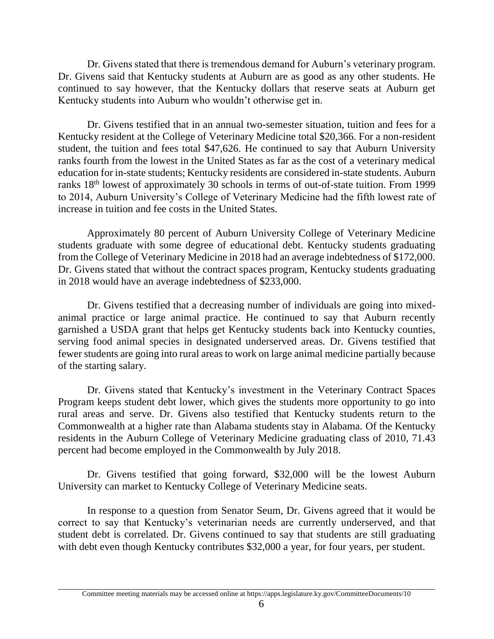Dr. Givens stated that there is tremendous demand for Auburn's veterinary program. Dr. Givens said that Kentucky students at Auburn are as good as any other students. He continued to say however, that the Kentucky dollars that reserve seats at Auburn get Kentucky students into Auburn who wouldn't otherwise get in.

Dr. Givens testified that in an annual two-semester situation, tuition and fees for a Kentucky resident at the College of Veterinary Medicine total \$20,366. For a non-resident student, the tuition and fees total \$47,626. He continued to say that Auburn University ranks fourth from the lowest in the United States as far as the cost of a veterinary medical education for in-state students; Kentucky residents are considered in-state students. Auburn ranks 18<sup>th</sup> lowest of approximately 30 schools in terms of out-of-state tuition. From 1999 to 2014, Auburn University's College of Veterinary Medicine had the fifth lowest rate of increase in tuition and fee costs in the United States.

Approximately 80 percent of Auburn University College of Veterinary Medicine students graduate with some degree of educational debt. Kentucky students graduating from the College of Veterinary Medicine in 2018 had an average indebtedness of \$172,000. Dr. Givens stated that without the contract spaces program, Kentucky students graduating in 2018 would have an average indebtedness of \$233,000.

Dr. Givens testified that a decreasing number of individuals are going into mixedanimal practice or large animal practice. He continued to say that Auburn recently garnished a USDA grant that helps get Kentucky students back into Kentucky counties, serving food animal species in designated underserved areas. Dr. Givens testified that fewer students are going into rural areas to work on large animal medicine partially because of the starting salary.

Dr. Givens stated that Kentucky's investment in the Veterinary Contract Spaces Program keeps student debt lower, which gives the students more opportunity to go into rural areas and serve. Dr. Givens also testified that Kentucky students return to the Commonwealth at a higher rate than Alabama students stay in Alabama. Of the Kentucky residents in the Auburn College of Veterinary Medicine graduating class of 2010, 71.43 percent had become employed in the Commonwealth by July 2018.

Dr. Givens testified that going forward, \$32,000 will be the lowest Auburn University can market to Kentucky College of Veterinary Medicine seats.

In response to a question from Senator Seum, Dr. Givens agreed that it would be correct to say that Kentucky's veterinarian needs are currently underserved, and that student debt is correlated. Dr. Givens continued to say that students are still graduating with debt even though Kentucky contributes \$32,000 a year, for four years, per student.

Committee meeting materials may be accessed online at https://apps.legislature.ky.gov/CommitteeDocuments/10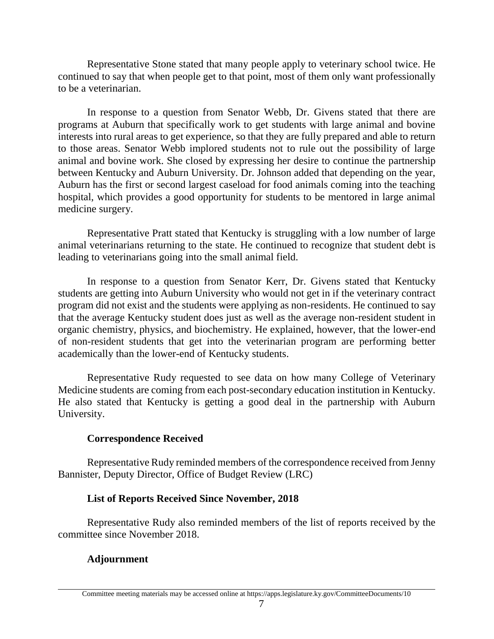Representative Stone stated that many people apply to veterinary school twice. He continued to say that when people get to that point, most of them only want professionally to be a veterinarian.

In response to a question from Senator Webb, Dr. Givens stated that there are programs at Auburn that specifically work to get students with large animal and bovine interests into rural areas to get experience, so that they are fully prepared and able to return to those areas. Senator Webb implored students not to rule out the possibility of large animal and bovine work. She closed by expressing her desire to continue the partnership between Kentucky and Auburn University. Dr. Johnson added that depending on the year, Auburn has the first or second largest caseload for food animals coming into the teaching hospital, which provides a good opportunity for students to be mentored in large animal medicine surgery.

Representative Pratt stated that Kentucky is struggling with a low number of large animal veterinarians returning to the state. He continued to recognize that student debt is leading to veterinarians going into the small animal field.

In response to a question from Senator Kerr, Dr. Givens stated that Kentucky students are getting into Auburn University who would not get in if the veterinary contract program did not exist and the students were applying as non-residents. He continued to say that the average Kentucky student does just as well as the average non-resident student in organic chemistry, physics, and biochemistry. He explained, however, that the lower-end of non-resident students that get into the veterinarian program are performing better academically than the lower-end of Kentucky students.

Representative Rudy requested to see data on how many College of Veterinary Medicine students are coming from each post-secondary education institution in Kentucky. He also stated that Kentucky is getting a good deal in the partnership with Auburn University.

# **Correspondence Received**

Representative Rudy reminded members of the correspondence received from Jenny Bannister, Deputy Director, Office of Budget Review (LRC)

# **List of Reports Received Since November, 2018**

Representative Rudy also reminded members of the list of reports received by the committee since November 2018.

# **Adjournment**